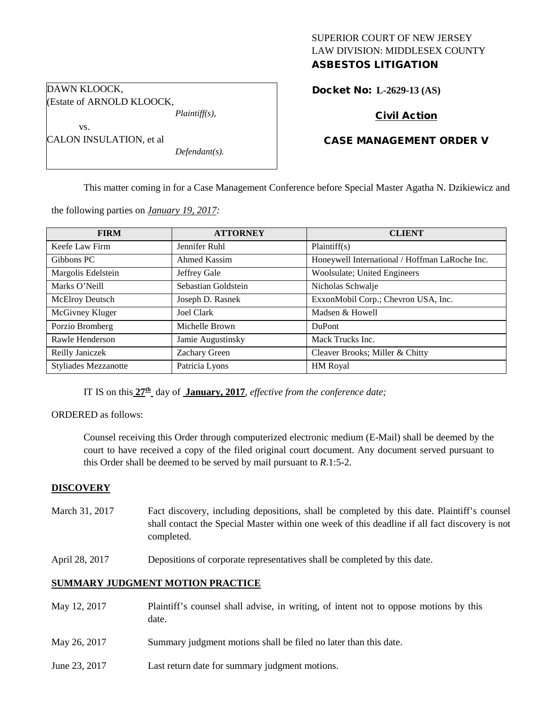# SUPERIOR COURT OF NEW JERSEY LAW DIVISION: MIDDLESEX COUNTY

## ASBESTOS LITIGATION

Docket No: **L-2629-13 (AS)** 

## Civil Action

## CASE MANAGEMENT ORDER V

CALON INSULATION, et al *Defendant(s).*

*Plaintiff(s),*

(Estate of ARNOLD KLOOCK,

DAWN KLOOCK,

vs.

This matter coming in for a Case Management Conference before Special Master Agatha N. Dzikiewicz and

the following parties on *January 19, 2017:*

| <b>FIRM</b>                 | <b>ATTORNEY</b>     | <b>CLIENT</b>                                  |
|-----------------------------|---------------------|------------------------------------------------|
| Keefe Law Firm              | Jennifer Ruhl       | Plaintiff(s)                                   |
| Gibbons PC                  | Ahmed Kassim        | Honeywell International / Hoffman LaRoche Inc. |
| Margolis Edelstein          | Jeffrey Gale        | Woolsulate; United Engineers                   |
| Marks O'Neill               | Sebastian Goldstein | Nicholas Schwalje                              |
| <b>McElroy Deutsch</b>      | Joseph D. Rasnek    | ExxonMobil Corp.; Chevron USA, Inc.            |
| McGivney Kluger             | Joel Clark          | Madsen & Howell                                |
| Porzio Bromberg             | Michelle Brown      | <b>DuPont</b>                                  |
| Rawle Henderson             | Jamie Augustinsky   | Mack Trucks Inc.                               |
| Reilly Janiczek             | Zachary Green       | Cleaver Brooks; Miller & Chitty                |
| <b>Styliades Mezzanotte</b> | Patricia Lyons      | HM Royal                                       |

IT IS on this **27th** day of **January, 2017**, *effective from the conference date;*

ORDERED as follows:

Counsel receiving this Order through computerized electronic medium (E-Mail) shall be deemed by the court to have received a copy of the filed original court document. Any document served pursuant to this Order shall be deemed to be served by mail pursuant to *R*.1:5-2.

#### **DISCOVERY**

- March 31, 2017 Fact discovery, including depositions, shall be completed by this date. Plaintiff's counsel shall contact the Special Master within one week of this deadline if all fact discovery is not completed.
- April 28, 2017 Depositions of corporate representatives shall be completed by this date.

## **SUMMARY JUDGMENT MOTION PRACTICE**

- May 12, 2017 Plaintiff's counsel shall advise, in writing, of intent not to oppose motions by this date.
- May 26, 2017 Summary judgment motions shall be filed no later than this date.
- June 23, 2017 Last return date for summary judgment motions.